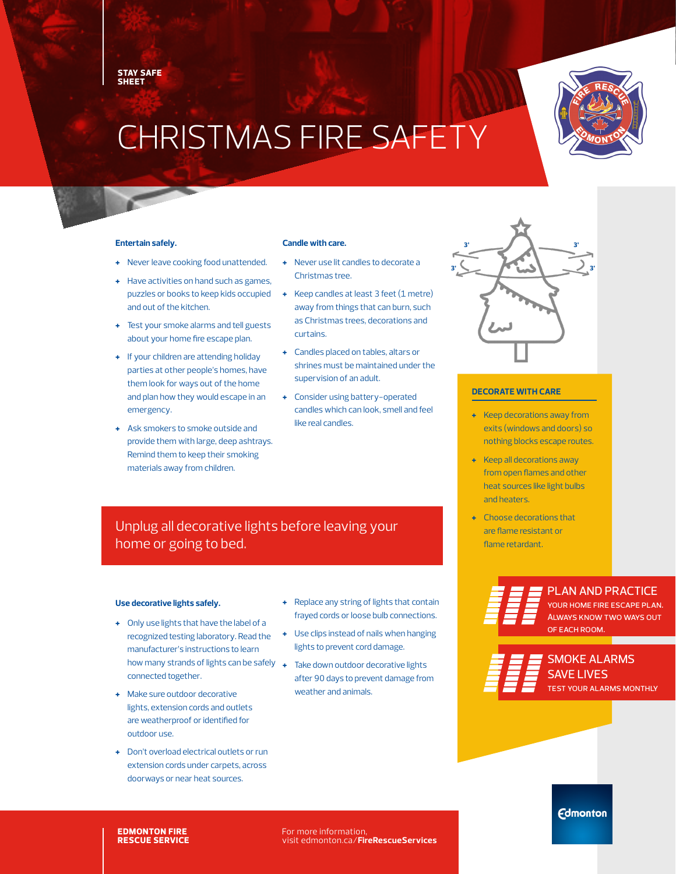**STAY SAFE SHEET**

# CHRISTMAS FIRE SAFETY

### **Entertain safely.**

- **+** Never leave cooking food unattended.
- **+** Have activities on hand such as games, puzzles or books to keep kids occupied and out of the kitchen.
- **+** Test your smoke alarms and tell guests about your home fire escape plan.
- **+** If your children are attending holiday parties at other people's homes, have them look for ways out of the home and plan how they would escape in an emergency.
- **+** Ask smokers to smoke outside and provide them with large, deep ashtrays. Remind them to keep their smoking materials away from children.

### **Candle with care.**

- **+** Never use lit candles to decorate a Christmas tree.
- **+** Keep candles at least 3 feet (1 metre) away from things that can burn, such as Christmas trees, decorations and curtains.
- **+** Candles placed on tables, altars or shrines must be maintained under the supervision of an adult.
- **+** Consider using battery-operated candles which can look, smell and feel like real candles.

## Unplug all decorative lights before leaving your home or going to bed.

## **Use decorative lights safely.**

- **+** Only use lights that have the label of a recognized testing laboratory. Read the manufacturer's instructions to learn how many strands of lights can be safely  $\rightarrow$ connected together.
- **+** Make sure outdoor decorative lights, extension cords and outlets are weatherproof or identified for outdoor use.
- **+** Don't overload electrical outlets or run extension cords under carpets, across doorways or near heat sources.
- **+** Replace any string of lights that contain frayed cords or loose bulb connections.
- **+** Use clips instead of nails when hanging lights to prevent cord damage.
- **+** Take down outdoor decorative lights after 90 days to prevent damage from weather and animals.



## **DECORATE WITH CARE**

- **+** Keep decorations away from exits (windows and doors) so nothing blocks escape routes.
- **+** Keep all decorations away from open flames and other heat sources like light bulbs and heaters.
- **+** Choose decorations that are flame resistant or flame retardant.





SMOKE ALARMS **AVE LIVES** YOUR ALARMS MONTHLY

**Edmonton** 

**EDMONTON FIRE RESCUE SERVICE** For more information, visit edmonton.ca/**FireRescueServices**